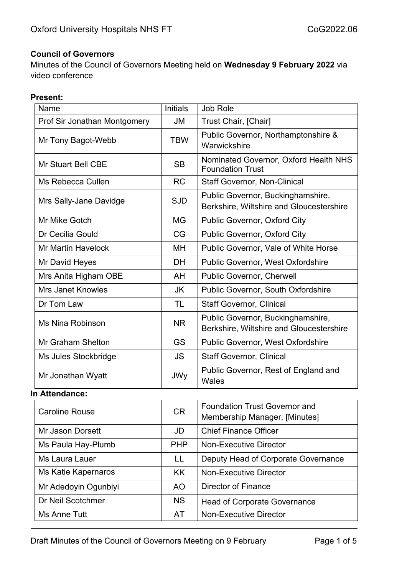#### **Council of Governors**

Minutes of the Council of Governors Meeting held on **Wednesday 9 February 2022** via video conference

#### **Present:**

| Name                         | <b>Initials</b> | Job Role                                                                      |
|------------------------------|-----------------|-------------------------------------------------------------------------------|
| Prof Sir Jonathan Montgomery | <b>JM</b>       | Trust Chair, [Chair]                                                          |
| Mr Tony Bagot-Webb           | <b>TBW</b>      | Public Governor, Northamptonshire &<br>Warwickshire                           |
| <b>Mr Stuart Bell CBE</b>    | <b>SB</b>       | Nominated Governor, Oxford Health NHS<br><b>Foundation Trust</b>              |
| Ms Rebecca Cullen            | <b>RC</b>       | <b>Staff Governor, Non-Clinical</b>                                           |
| Mrs Sally-Jane Davidge       | <b>SJD</b>      | Public Governor, Buckinghamshire,<br>Berkshire, Wiltshire and Gloucestershire |
| Mr Mike Gotch                | <b>MG</b>       | Public Governor, Oxford City                                                  |
| Dr Cecilia Gould             | CG              | Public Governor, Oxford City                                                  |
| <b>Mr Martin Havelock</b>    | MH              | Public Governor, Vale of White Horse                                          |
| Mr David Heyes               | <b>DH</b>       | <b>Public Governor, West Oxfordshire</b>                                      |
| Mrs Anita Higham OBE         | AH              | Public Governor, Cherwell                                                     |
| <b>Mrs Janet Knowles</b>     | JK              | <b>Public Governor, South Oxfordshire</b>                                     |
| Dr Tom Law                   | <b>TL</b>       | <b>Staff Governor, Clinical</b>                                               |
| Ms Nina Robinson             | <b>NR</b>       | Public Governor, Buckinghamshire,<br>Berkshire, Wiltshire and Gloucestershire |
| <b>Mr Graham Shelton</b>     | <b>GS</b>       | Public Governor, West Oxfordshire                                             |
| Ms Jules Stockbridge         | <b>JS</b>       | <b>Staff Governor, Clinical</b>                                               |
| Mr Jonathan Wyatt            | <b>JWy</b>      | Public Governor, Rest of England and<br>Wales                                 |

#### **In Attendance:**

| <b>Caroline Rouse</b> | <b>CR</b>  | <b>Foundation Trust Governor and</b><br>Membership Manager, [Minutes] |
|-----------------------|------------|-----------------------------------------------------------------------|
| Mr Jason Dorsett      | JD         | <b>Chief Finance Officer</b>                                          |
| Ms Paula Hay-Plumb    | <b>PHP</b> | <b>Non-Executive Director</b>                                         |
| Ms Laura Lauer        | LL         | Deputy Head of Corporate Governance                                   |
| Ms Katie Kapernaros   | <b>KK</b>  | <b>Non-Executive Director</b>                                         |
| Mr Adedoyin Ogunbiyi  | AO.        | <b>Director of Finance</b>                                            |
| Dr Neil Scotchmer     | <b>NS</b>  | <b>Head of Corporate Governance</b>                                   |
| Ms Anne Tutt          | AT         | <b>Non-Executive Director</b>                                         |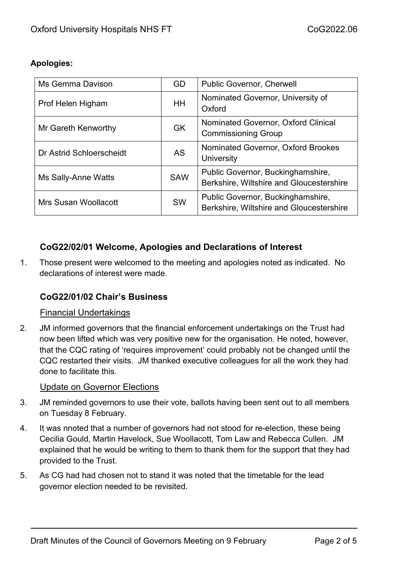## **Apologies:**

| Ms Gemma Davison         | GD         | <b>Public Governor, Cherwell</b>                                              |
|--------------------------|------------|-------------------------------------------------------------------------------|
| Prof Helen Higham        | HH.        | Nominated Governor, University of<br>Oxford                                   |
| Mr Gareth Kenworthy      | <b>GK</b>  | Nominated Governor, Oxford Clinical<br><b>Commissioning Group</b>             |
| Dr Astrid Schloerscheidt | <b>AS</b>  | Nominated Governor, Oxford Brookes<br>University                              |
| Ms Sally-Anne Watts      | <b>SAW</b> | Public Governor, Buckinghamshire,<br>Berkshire, Wiltshire and Gloucestershire |
| Mrs Susan Woollacott     | <b>SW</b>  | Public Governor, Buckinghamshire,<br>Berkshire, Wiltshire and Gloucestershire |

# **CoG22/02/01 Welcome, Apologies and Declarations of Interest**

1. Those present were welcomed to the meeting and apologies noted as indicated. No declarations of interest were made.

## **CoG22/01/02 Chair's Business**

#### Financial Undertakings

2. JM informed governors that the financial enforcement undertakings on the Trust had now been lifted which was very positive new for the organisation. He noted, however, that the CQC rating of 'requires improvement' could probably not be changed until the CQC restarted their visits. JM thanked executive colleagues for all the work they had done to facilitate this.

#### Update on Governor Elections

- 3. JM reminded governors to use their vote, ballots having been sent out to all members on Tuesday 8 February.
- 4. It was nnoted that a number of governors had not stood for re-election, these being Cecilia Gould, Martin Havelock, Sue Woollacott, Tom Law and Rebecca Cullen. JM explained that he would be writing to them to thank them for the support that they had provided to the Trust.
- 5. As CG had had chosen not to stand it was noted that the timetable for the lead governor election needed to be revisited.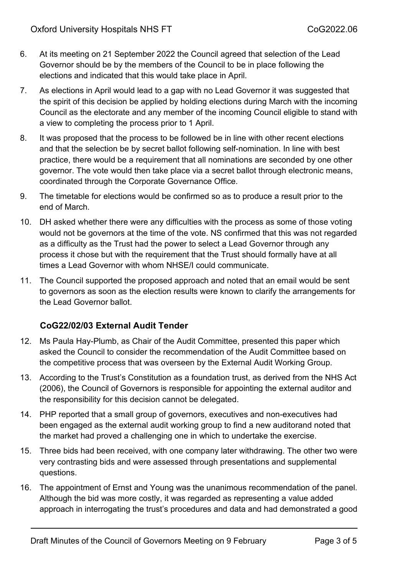- 6. At its meeting on 21 September 2022 the Council agreed that selection of the Lead Governor should be by the members of the Council to be in place following the elections and indicated that this would take place in April.
- 7. As elections in April would lead to a gap with no Lead Governor it was suggested that the spirit of this decision be applied by holding elections during March with the incoming Council as the electorate and any member of the incoming Council eligible to stand with a view to completing the process prior to 1 April.
- 8. It was proposed that the process to be followed be in line with other recent elections and that the selection be by secret ballot following self-nomination. In line with best practice, there would be a requirement that all nominations are seconded by one other governor. The vote would then take place via a secret ballot through electronic means, coordinated through the Corporate Governance Office.
- 9. The timetable for elections would be confirmed so as to produce a result prior to the end of March.
- 10. DH asked whether there were any difficulties with the process as some of those voting would not be governors at the time of the vote. NS confirmed that this was not regarded as a difficulty as the Trust had the power to select a Lead Governor through any process it chose but with the requirement that the Trust should formally have at all times a Lead Governor with whom NHSE/I could communicate.
- 11. The Council supported the proposed approach and noted that an email would be sent to governors as soon as the election results were known to clarify the arrangements for the Lead Governor ballot.

# **CoG22/02/03 External Audit Tender**

- 12. Ms Paula Hay-Plumb, as Chair of the Audit Committee, presented this paper which asked the Council to consider the recommendation of the Audit Committee based on the competitive process that was overseen by the External Audit Working Group.
- 13. According to the Trust's Constitution as a foundation trust, as derived from the NHS Act (2006), the Council of Governors is responsible for appointing the external auditor and the responsibility for this decision cannot be delegated.
- 14. PHP reported that a small group of governors, executives and non-executives had been engaged as the external audit working group to find a new auditorand noted that the market had proved a challenging one in which to undertake the exercise.
- 15. Three bids had been received, with one company later withdrawing. The other two were very contrasting bids and were assessed through presentations and supplemental questions.
- 16. The appointment of Ernst and Young was the unanimous recommendation of the panel. Although the bid was more costly, it was regarded as representing a value added approach in interrogating the trust's procedures and data and had demonstrated a good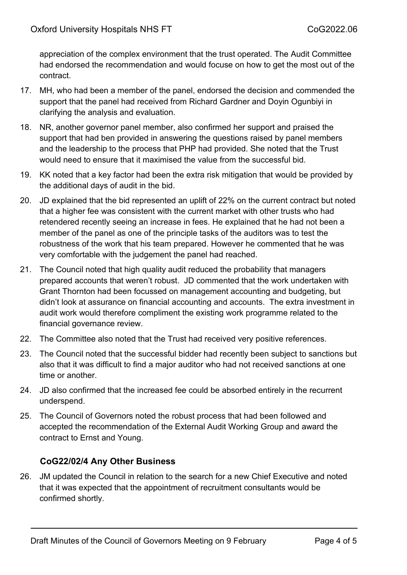appreciation of the complex environment that the trust operated. The Audit Committee had endorsed the recommendation and would focuse on how to get the most out of the contract.

- 17. MH, who had been a member of the panel, endorsed the decision and commended the support that the panel had received from Richard Gardner and Doyin Ogunbiyi in clarifying the analysis and evaluation.
- 18. NR, another governor panel member, also confirmed her support and praised the support that had ben provided in answering the questions raised by panel members and the leadership to the process that PHP had provided. She noted that the Trust would need to ensure that it maximised the value from the successful bid.
- 19. KK noted that a key factor had been the extra risk mitigation that would be provided by the additional days of audit in the bid.
- 20. JD explained that the bid represented an uplift of 22% on the current contract but noted that a higher fee was consistent with the current market with other trusts who had retendered recently seeing an increase in fees. He explained that he had not been a member of the panel as one of the principle tasks of the auditors was to test the robustness of the work that his team prepared. However he commented that he was very comfortable with the judgement the panel had reached.
- 21. The Council noted that high quality audit reduced the probability that managers prepared accounts that weren't robust. JD commented that the work undertaken with Grant Thornton had been focussed on management accounting and budgeting, but didn't look at assurance on financial accounting and accounts. The extra investment in audit work would therefore compliment the existing work programme related to the financial governance review.
- 22. The Committee also noted that the Trust had received very positive references.
- 23. The Council noted that the successful bidder had recently been subject to sanctions but also that it was difficult to find a major auditor who had not received sanctions at one time or another.
- 24. JD also confirmed that the increased fee could be absorbed entirely in the recurrent underspend.
- 25. The Council of Governors noted the robust process that had been followed and accepted the recommendation of the External Audit Working Group and award the contract to Ernst and Young.

## **CoG22/02/4 Any Other Business**

26. JM updated the Council in relation to the search for a new Chief Executive and noted that it was expected that the appointment of recruitment consultants would be confirmed shortly.